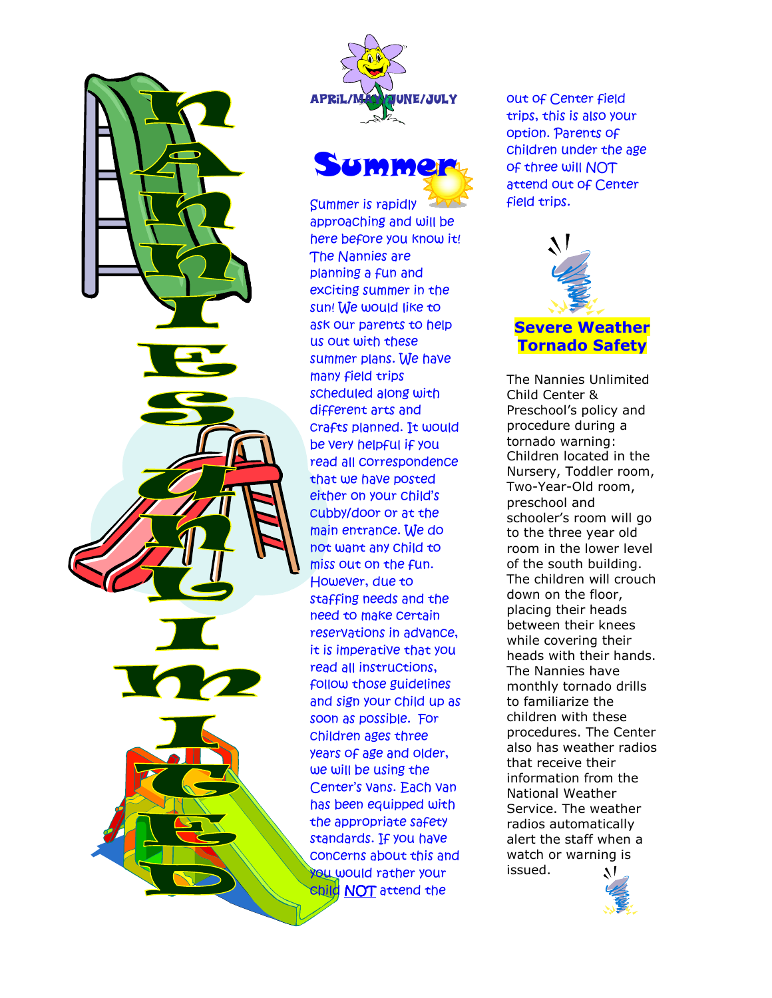





Summer is rapidly approaching and will be here before you know it! The Nannies are planning a fun and exciting summer in the sun! We would like to ask our parents to help us out with these summer plans. We have many field trips scheduled along with different arts and crafts planned. It would be very helpful if you read all correspondence that we have posted either on your child's cubby/door or at the main entrance. We do not want any child to miss out on the fun. However, due to staffing needs and the need to make certain reservations in advance, it is imperative that you read all instructions, follow those guidelines and sign your child up as soon as possible. For children ages three years of age and older, we will be using the Center's vans. Each van has been equipped with the appropriate safety standards. If you have concerns about this and you would rather your child NOT attend the

out of Center field trips, this is also your option. Parents of children under the age of three will NOT attend out of Center field trips.



The Nannies Unlimited Child Center & Preschool's policy and procedure during a tornado warning: Children located in the Nursery, Toddler room, Two-Year-Old room, preschool and schooler's room will go to the three year old room in the lower level of the south building. The children will crouch down on the floor, placing their heads between their knees while covering their heads with their hands. The Nannies have monthly tornado drills to familiarize the children with these procedures. The Center also has weather radios that receive their information from the National Weather Service. The weather radios automatically alert the staff when a watch or warning is issued.

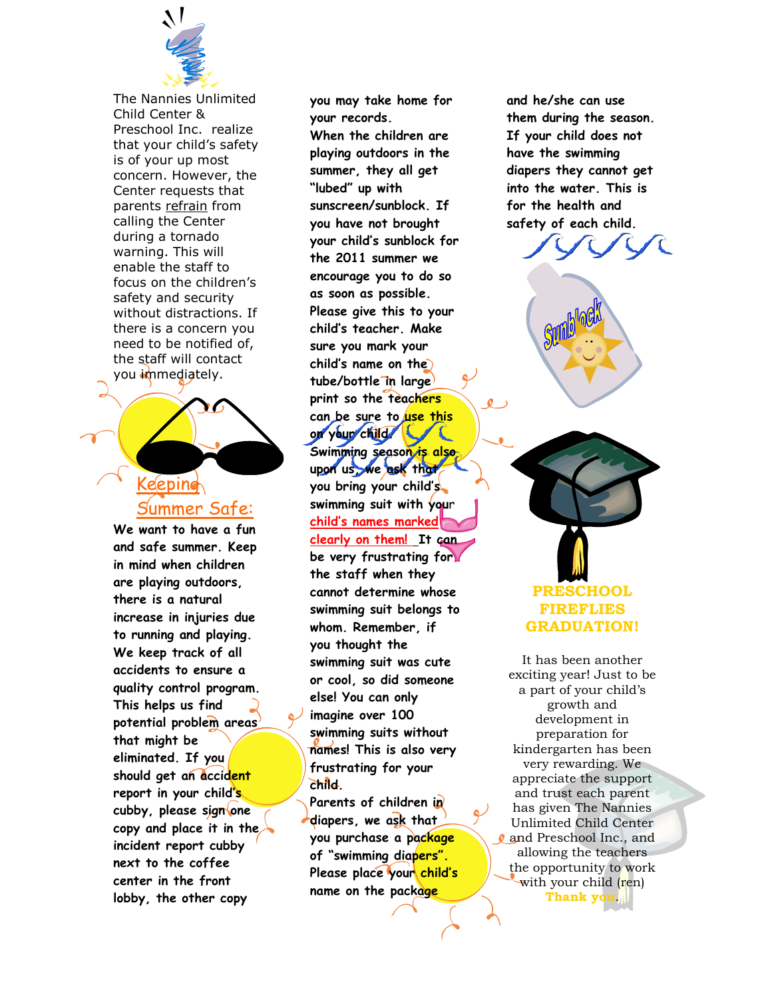

The Nannies Unlimited Child Center & Preschool Inc. realize that your child's safety is of your up most concern. However, the Center requests that parents refrain from calling the Center during a tornado warning. This will enable the staff to focus on the children's safety and security without distractions. If there is a concern you need to be notified of, the staff will contact you immediately.

### Keeping Summer Safe:

**We want to have a fun and safe summer. Keep in mind when children are playing outdoors, there is a natural increase in injuries due to running and playing. We keep track of all accidents to ensure a quality control program. This helps us find potential problem areas that might be eliminated. If you should get an accident report in your child's cubby, please sign one copy and place it in the incident report cubby next to the coffee center in the front lobby, the other copy** 

**you may take home for your records. When the children are playing outdoors in the summer, they all get "lubed" up with sunscreen/sunblock. If you have not brought your child's sunblock for the 2011 summer we encourage you to do so as soon as possible. Please give this to your child's teacher. Make sure you mark your child's name on the tube/bottle in large print so the teachers can be sure to use this on your child. Swimming season is also upon us, we ask that you bring your child's swimming suit with you**r **child's names marked clearly on them! It can be very frustrating for the staff when they cannot determine whose swimming suit belongs to whom. Remember, if you thought the swimming suit was cute or cool, so did someone else! You can only imagine over 100 swimming suits without names! This is also very frustrating for your child.** 

**Parents of children in diapers, we ask that you purchase a package of "swimming diapers".**  Please place your child's **name on the package** 

**and he/she can use them during the season. If your child does not have the swimming diapers they cannot get into the water. This is for the health and safety of each child.** 



It has been another exciting year! Just to be a part of your child's growth and development in preparation for kindergarten has been very rewarding. We appreciate the support and trust each parent has given The Nannies Unlimited Child Center and Preschool Inc., and allowing the teachers the opportunity to work with your child (ren) **Thank you**.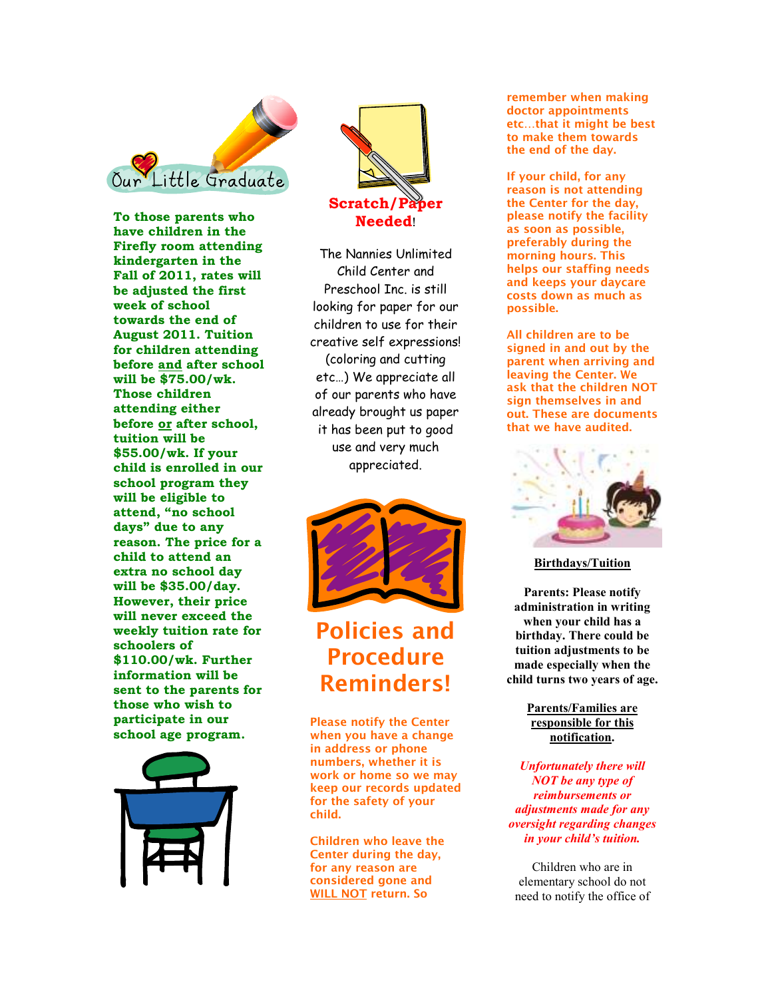

**To those parents who have children in the Firefly room attending kindergarten in the Fall of 2011, rates will be adjusted the first week of school towards the end of August 2011. Tuition for children attending before and after school will be \$75.00/wk. Those children attending either before or after school, tuition will be \$55.00/wk. If your child is enrolled in our school program they will be eligible to attend, "no school days" due to any reason. The price for a child to attend an extra no school day will be \$35.00/day. However, their price will never exceed the weekly tuition rate for schoolers of \$110.00/wk. Further information will be sent to the parents for those who wish to participate in our school age program.** 





The Nannies Unlimited Child Center and Preschool Inc. is still looking for paper for our children to use for their creative self expressions! (coloring and cutting etc…) We appreciate all of our parents who have already brought us paper it has been put to good use and very much appreciated.



# **Policies and Procedure Reminders!**

**Please notify the Center when you have a change in address or phone numbers, whether it is work or home so we may keep our records updated for the safety of your child.** 

**Children who leave the Center during the day, for any reason are considered gone and WILL NOT return. So** 

**remember when making doctor appointments etc…that it might be best to make them towards the end of the day.** 

**If your child, for any reason is not attending the Center for the day, please notify the facility as soon as possible, preferably during the morning hours. This helps our staffing needs and keeps your daycare costs down as much as possible.** 

**All children are to be signed in and out by the parent when arriving and leaving the Center. We ask that the children NOT sign themselves in and out. These are documents that we have audited.** 



**Birthdays/Tuition**

**Parents: Please notify administration in writing when your child has a birthday. There could be tuition adjustments to be made especially when the child turns two years of age.** 

> **Parents/Families are responsible for this notification.**

*Unfortunately there will NOT be any type of reimbursements or adjustments made for any oversight regarding changes in your child's tuition.* 

Children who are in elementary school do not need to notify the office of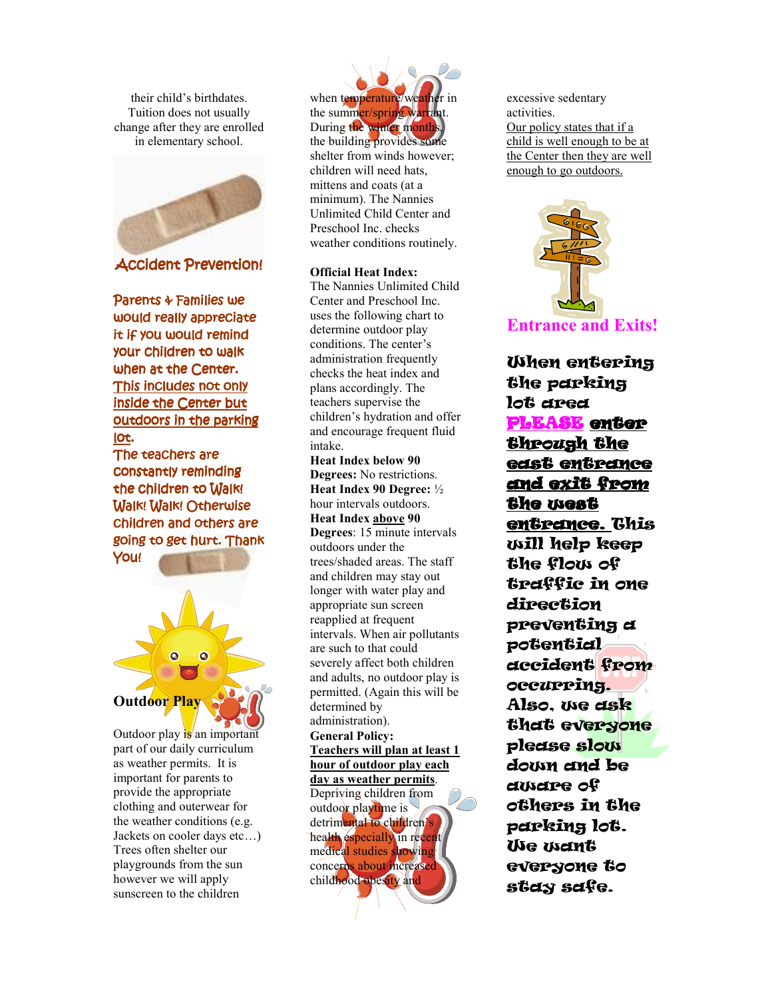their child's birthdates. Tuition does not usually change after they are enrolled in elementary school.



**Accident Prevention!** 

Parents & Families we would really appreciate it if you would remind your children to walk when at the Center. This includes not only inside the Center but outdoors in the parking lot.

The teachers are constantly reminding the children to Walk! Walk! Walk! Otherwise children and others are going to get hurt. Thank You!



Outdoor play  $\frac{1}{s}$  an important part of our daily curriculum as weather permits. It is important for parents to provide the appropriate clothing and outerwear for the weather conditions (e.g. Jackets on cooler days etc…) Trees often shelter our playgrounds from the sun however we will apply sunscreen to the children

when temperature/weather in the summer/spring warrant. During the winter months, the building provides some shelter from winds however; children will need hats, mittens and coats (at a minimum). The Nannies Unlimited Child Center and Preschool Inc. checks weather conditions routinely.

#### **Official Heat Index:**

The Nannies Unlimited Child Center and Preschool Inc. uses the following chart to determine outdoor play conditions. The center's administration frequently checks the heat index and plans accordingly. The teachers supervise the children's hydration and offer and encourage frequent fluid intake.

**Heat Index below 90 Degrees:** No restrictions. **Heat Index 90 Degree:** ½ hour intervals outdoors. **Heat Index above 90 Degrees**: 15 minute intervals outdoors under the trees/shaded areas. The staff and children may stay out longer with water play and appropriate sun screen reapplied at frequent intervals. When air pollutants are such to that could severely affect both children and adults, no outdoor play is permitted. (Again this will be determined by administration). **General Policy: Teachers will plan at least 1 hour of outdoor play each** 

**day as weather permits**.

Depriving children from outdoor playtime is detrimental to children's health especially in recent medical studies showing concerns about increased childhood obesity and

excessive sedentary activities. Our policy states that if a child is well enough to be at the Center then they are well enough to go outdoors.



When entering the parking lot area PLEASE enter through the east entrance and exit from the west entrance. This will help keep the flow of traffic in one direction preventing a potential accident from occurring. Also, we ask that everyone please slow down and be aware of others in the parking lot. We want everyone to stay safe.